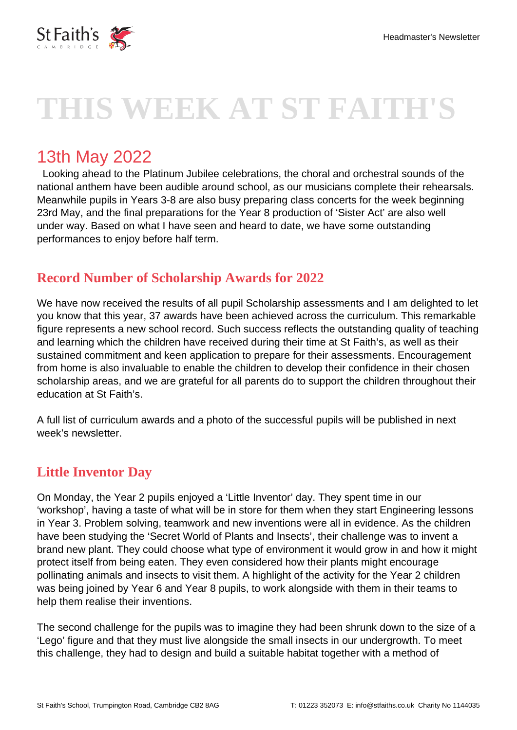

# **THIS WEEK AT ST FAITH'S**

# 13th May 2022

 Looking ahead to the Platinum Jubilee celebrations, the choral and orchestral sounds of the national anthem have been audible around school, as our musicians complete their rehearsals. Meanwhile pupils in Years 3-8 are also busy preparing class concerts for the week beginning 23rd May, and the final preparations for the Year 8 production of 'Sister Act' are also well under way. Based on what I have seen and heard to date, we have some outstanding performances to enjoy before half term.

#### **Record Number of Scholarship Awards for 2022**

We have now received the results of all pupil Scholarship assessments and I am delighted to let you know that this year, 37 awards have been achieved across the curriculum. This remarkable figure represents a new school record. Such success reflects the outstanding quality of teaching and learning which the children have received during their time at St Faith's, as well as their sustained commitment and keen application to prepare for their assessments. Encouragement from home is also invaluable to enable the children to develop their confidence in their chosen scholarship areas, and we are grateful for all parents do to support the children throughout their education at St Faith's.

A full list of curriculum awards and a photo of the successful pupils will be published in next week's newsletter.

## **Little Inventor Day**

On Monday, the Year 2 pupils enjoyed a 'Little Inventor' day. They spent time in our 'workshop', having a taste of what will be in store for them when they start Engineering lessons in Year 3. Problem solving, teamwork and new inventions were all in evidence. As the children have been studying the 'Secret World of Plants and Insects', their challenge was to invent a brand new plant. They could choose what type of environment it would grow in and how it might protect itself from being eaten. They even considered how their plants might encourage pollinating animals and insects to visit them. A highlight of the activity for the Year 2 children was being joined by Year 6 and Year 8 pupils, to work alongside with them in their teams to help them realise their inventions.

The second challenge for the pupils was to imagine they had been shrunk down to the size of a 'Lego' figure and that they must live alongside the small insects in our undergrowth. To meet this challenge, they had to design and build a suitable habitat together with a method of